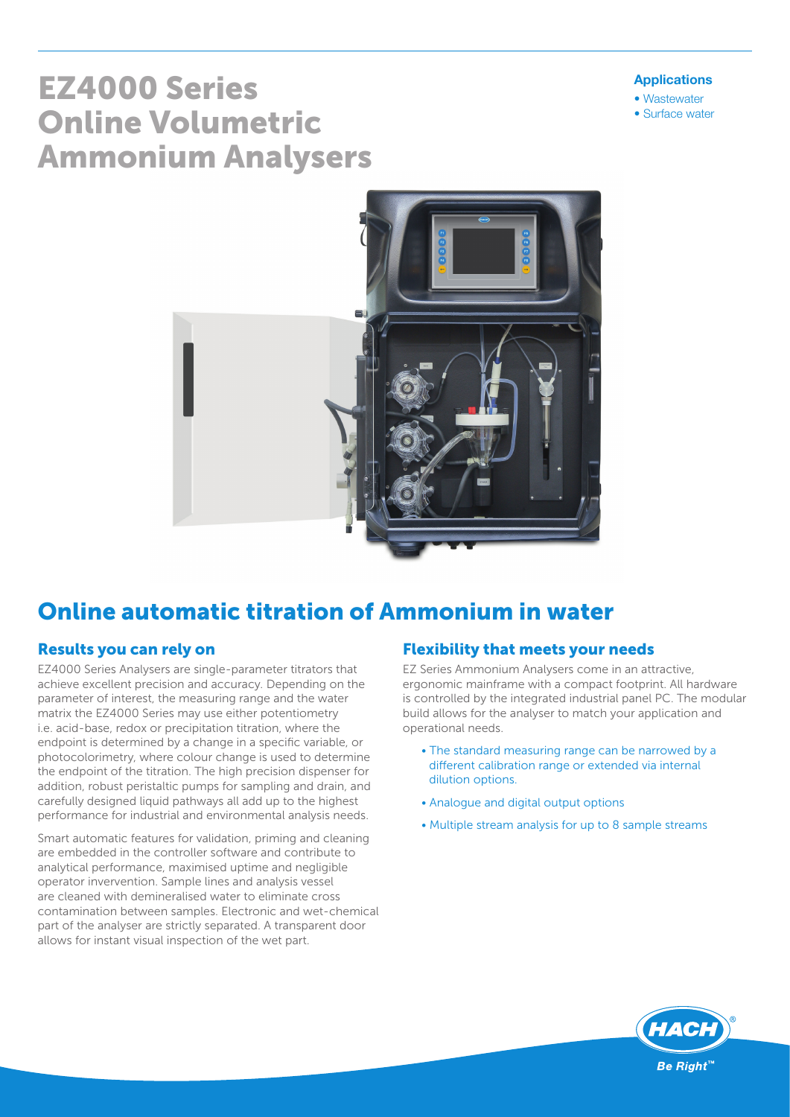#### Applications

- Wastewater
- Surface water

# EZ4000 Series Online Volumetric Ammonium Analysers



# Online automatic titration of Ammonium in water

#### Results you can rely on

EZ4000 Series Analysers are single-parameter titrators that achieve excellent precision and accuracy. Depending on the parameter of interest, the measuring range and the water matrix the EZ4000 Series may use either potentiometry i.e. acid-base, redox or precipitation titration, where the endpoint is determined by a change in a specific variable, or photocolorimetry, where colour change is used to determine the endpoint of the titration. The high precision dispenser for addition, robust peristaltic pumps for sampling and drain, and carefully designed liquid pathways all add up to the highest performance for industrial and environmental analysis needs.

Smart automatic features for validation, priming and cleaning are embedded in the controller software and contribute to analytical performance, maximised uptime and negligible operator invervention. Sample lines and analysis vessel are cleaned with demineralised water to eliminate cross contamination between samples. Electronic and wet-chemical part of the analyser are strictly separated. A transparent door allows for instant visual inspection of the wet part.

#### Flexibility that meets your needs

EZ Series Ammonium Analysers come in an attractive, ergonomic mainframe with a compact footprint. All hardware is controlled by the integrated industrial panel PC. The modular build allows for the analyser to match your application and operational needs.

- The standard measuring range can be narrowed by a different calibration range or extended via internal dilution options.
- Analogue and digital output options
- Multiple stream analysis for up to 8 sample streams

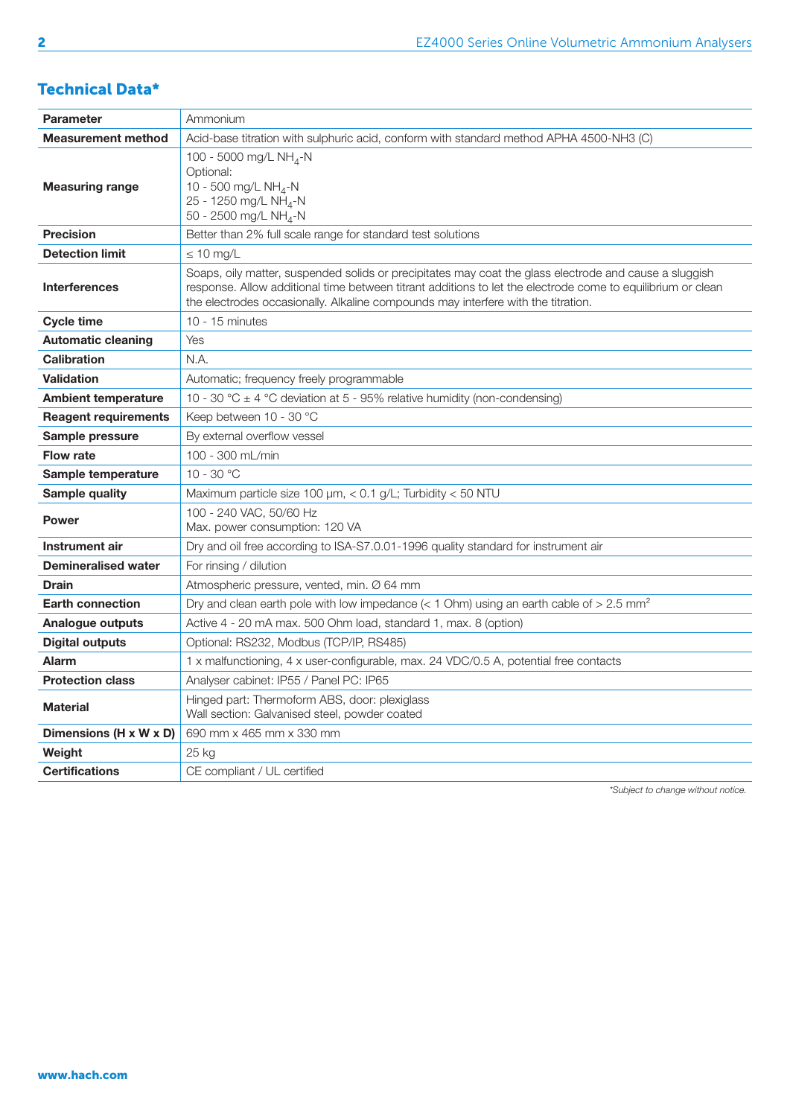### Technical Data\*

| <b>Parameter</b>            | Ammonium                                                                                                                                                                                                                                                                                                   |
|-----------------------------|------------------------------------------------------------------------------------------------------------------------------------------------------------------------------------------------------------------------------------------------------------------------------------------------------------|
| <b>Measurement method</b>   | Acid-base titration with sulphuric acid, conform with standard method APHA 4500-NH3 (C)                                                                                                                                                                                                                    |
| <b>Measuring range</b>      | 100 - 5000 mg/L NH <sub>4</sub> -N<br>Optional:<br>10 - 500 mg/L NH <sub>4</sub> -N<br>25 - 1250 mg/L NH <sub>4</sub> -N<br>50 - 2500 mg/L NH <sub>4</sub> -N                                                                                                                                              |
| <b>Precision</b>            | Better than 2% full scale range for standard test solutions                                                                                                                                                                                                                                                |
| <b>Detection limit</b>      | $\leq 10$ mg/L                                                                                                                                                                                                                                                                                             |
| <b>Interferences</b>        | Soaps, oily matter, suspended solids or precipitates may coat the glass electrode and cause a sluggish<br>response. Allow additional time between titrant additions to let the electrode come to equilibrium or clean<br>the electrodes occasionally. Alkaline compounds may interfere with the titration. |
| <b>Cycle time</b>           | 10 - 15 minutes                                                                                                                                                                                                                                                                                            |
| <b>Automatic cleaning</b>   | Yes                                                                                                                                                                                                                                                                                                        |
| <b>Calibration</b>          | N.A.                                                                                                                                                                                                                                                                                                       |
| <b>Validation</b>           | Automatic; frequency freely programmable                                                                                                                                                                                                                                                                   |
| <b>Ambient temperature</b>  | 10 - 30 °C $\pm$ 4 °C deviation at 5 - 95% relative humidity (non-condensing)                                                                                                                                                                                                                              |
| <b>Reagent requirements</b> | Keep between 10 - 30 °C                                                                                                                                                                                                                                                                                    |
| Sample pressure             | By external overflow vessel                                                                                                                                                                                                                                                                                |
| <b>Flow rate</b>            | 100 - 300 mL/min                                                                                                                                                                                                                                                                                           |
| Sample temperature          | 10 - 30 $^{\circ}$ C                                                                                                                                                                                                                                                                                       |
| Sample quality              | Maximum particle size 100 µm, < 0.1 g/L; Turbidity < 50 NTU                                                                                                                                                                                                                                                |
| <b>Power</b>                | 100 - 240 VAC, 50/60 Hz<br>Max. power consumption: 120 VA                                                                                                                                                                                                                                                  |
| Instrument air              | Dry and oil free according to ISA-S7.0.01-1996 quality standard for instrument air                                                                                                                                                                                                                         |
| <b>Demineralised water</b>  | For rinsing / dilution                                                                                                                                                                                                                                                                                     |
| <b>Drain</b>                | Atmospheric pressure, vented, min. Ø 64 mm                                                                                                                                                                                                                                                                 |
| <b>Earth connection</b>     | Dry and clean earth pole with low impedance (< 1 Ohm) using an earth cable of > 2.5 mm <sup>2</sup>                                                                                                                                                                                                        |
| Analogue outputs            | Active 4 - 20 mA max. 500 Ohm load, standard 1, max. 8 (option)                                                                                                                                                                                                                                            |
| <b>Digital outputs</b>      | Optional: RS232, Modbus (TCP/IP, RS485)                                                                                                                                                                                                                                                                    |
| <b>Alarm</b>                | 1 x malfunctioning, 4 x user-configurable, max. 24 VDC/0.5 A, potential free contacts                                                                                                                                                                                                                      |
| <b>Protection class</b>     | Analyser cabinet: IP55 / Panel PC: IP65                                                                                                                                                                                                                                                                    |
| <b>Material</b>             | Hinged part: Thermoform ABS, door: plexiglass<br>Wall section: Galvanised steel, powder coated                                                                                                                                                                                                             |
| Dimensions (H x W x D)      | 690 mm x 465 mm x 330 mm                                                                                                                                                                                                                                                                                   |
| Weight                      | 25 kg                                                                                                                                                                                                                                                                                                      |
| <b>Certifications</b>       | CE compliant / UL certified                                                                                                                                                                                                                                                                                |

*\*Subject to change without notice.*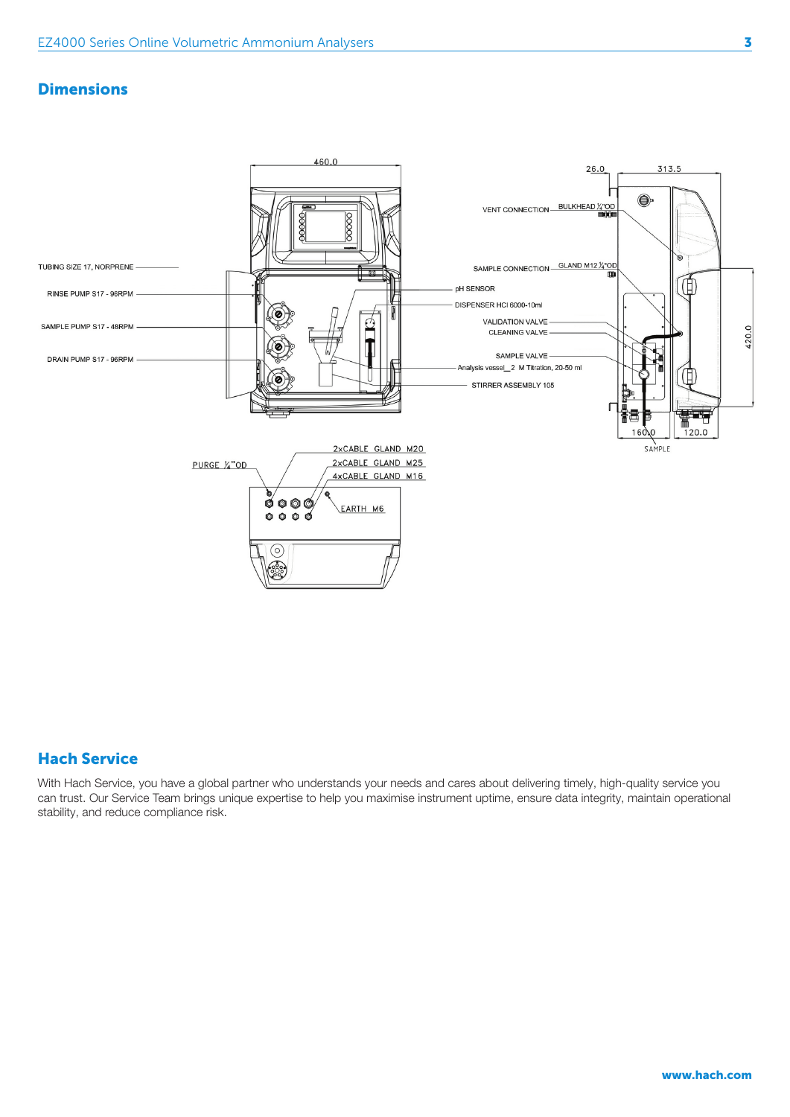#### **Dimensions**



#### Hach Service

With Hach Service, you have a global partner who understands your needs and cares about delivering timely, high-quality service you can trust. Our Service Team brings unique expertise to help you maximise instrument uptime, ensure data integrity, maintain operational stability, and reduce compliance risk.